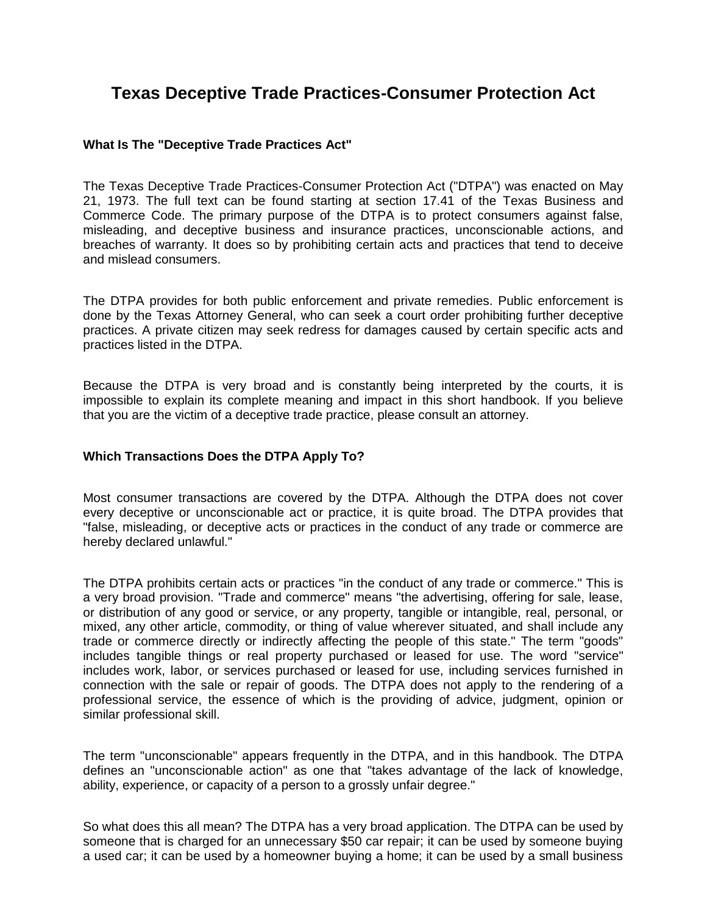# **Texas Deceptive Trade Practices-Consumer Protection Act**

## **What Is The "Deceptive Trade Practices Act"**

The Texas Deceptive Trade Practices-Consumer Protection Act ("DTPA") was enacted on May 21, 1973. The full text can be found starting at section 17.41 of the Texas Business and Commerce Code. The primary purpose of the DTPA is to protect consumers against false, misleading, and deceptive business and insurance practices, unconscionable actions, and breaches of warranty. It does so by prohibiting certain acts and practices that tend to deceive and mislead consumers.

The DTPA provides for both public enforcement and private remedies. Public enforcement is done by the Texas Attorney General, who can seek a court order prohibiting further deceptive practices. A private citizen may seek redress for damages caused by certain specific acts and practices listed in the DTPA.

Because the DTPA is very broad and is constantly being interpreted by the courts, it is impossible to explain its complete meaning and impact in this short handbook. If you believe that you are the victim of a deceptive trade practice, please consult an attorney.

# **Which Transactions Does the DTPA Apply To?**

Most consumer transactions are covered by the DTPA. Although the DTPA does not cover every deceptive or unconscionable act or practice, it is quite broad. The DTPA provides that "false, misleading, or deceptive acts or practices in the conduct of any trade or commerce are hereby declared unlawful."

The DTPA prohibits certain acts or practices "in the conduct of any trade or commerce." This is a very broad provision. "Trade and commerce" means "the advertising, offering for sale, lease, or distribution of any good or service, or any property, tangible or intangible, real, personal, or mixed, any other article, commodity, or thing of value wherever situated, and shall include any trade or commerce directly or indirectly affecting the people of this state." The term "goods" includes tangible things or real property purchased or leased for use. The word "service" includes work, labor, or services purchased or leased for use, including services furnished in connection with the sale or repair of goods. The DTPA does not apply to the rendering of a professional service, the essence of which is the providing of advice, judgment, opinion or similar professional skill.

The term "unconscionable" appears frequently in the DTPA, and in this handbook. The DTPA defines an "unconscionable action" as one that "takes advantage of the lack of knowledge, ability, experience, or capacity of a person to a grossly unfair degree."

So what does this all mean? The DTPA has a very broad application. The DTPA can be used by someone that is charged for an unnecessary \$50 car repair; it can be used by someone buying a used car; it can be used by a homeowner buying a home; it can be used by a small business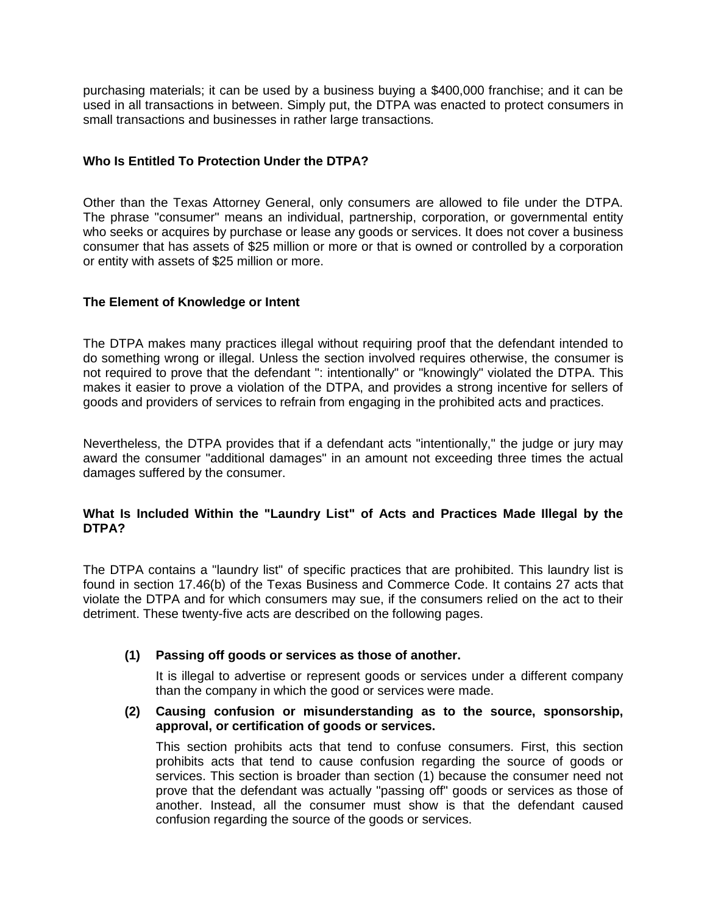purchasing materials; it can be used by a business buying a \$400,000 franchise; and it can be used in all transactions in between. Simply put, the DTPA was enacted to protect consumers in small transactions and businesses in rather large transactions.

# **Who Is Entitled To Protection Under the DTPA?**

Other than the Texas Attorney General, only consumers are allowed to file under the DTPA. The phrase "consumer" means an individual, partnership, corporation, or governmental entity who seeks or acquires by purchase or lease any goods or services. It does not cover a business consumer that has assets of \$25 million or more or that is owned or controlled by a corporation or entity with assets of \$25 million or more.

# **The Element of Knowledge or Intent**

The DTPA makes many practices illegal without requiring proof that the defendant intended to do something wrong or illegal. Unless the section involved requires otherwise, the consumer is not required to prove that the defendant ": intentionally" or "knowingly" violated the DTPA. This makes it easier to prove a violation of the DTPA, and provides a strong incentive for sellers of goods and providers of services to refrain from engaging in the prohibited acts and practices.

Nevertheless, the DTPA provides that if a defendant acts "intentionally," the judge or jury may award the consumer "additional damages" in an amount not exceeding three times the actual damages suffered by the consumer.

# **What Is Included Within the "Laundry List" of Acts and Practices Made Illegal by the DTPA?**

The DTPA contains a "laundry list" of specific practices that are prohibited. This laundry list is found in section 17.46(b) of the Texas Business and Commerce Code. It contains 27 acts that violate the DTPA and for which consumers may sue, if the consumers relied on the act to their detriment. These twenty-five acts are described on the following pages.

## **(1) Passing off goods or services as those of another.**

It is illegal to advertise or represent goods or services under a different company than the company in which the good or services were made.

## **(2) Causing confusion or misunderstanding as to the source, sponsorship, approval, or certification of goods or services.**

This section prohibits acts that tend to confuse consumers. First, this section prohibits acts that tend to cause confusion regarding the source of goods or services. This section is broader than section (1) because the consumer need not prove that the defendant was actually "passing off" goods or services as those of another. Instead, all the consumer must show is that the defendant caused confusion regarding the source of the goods or services.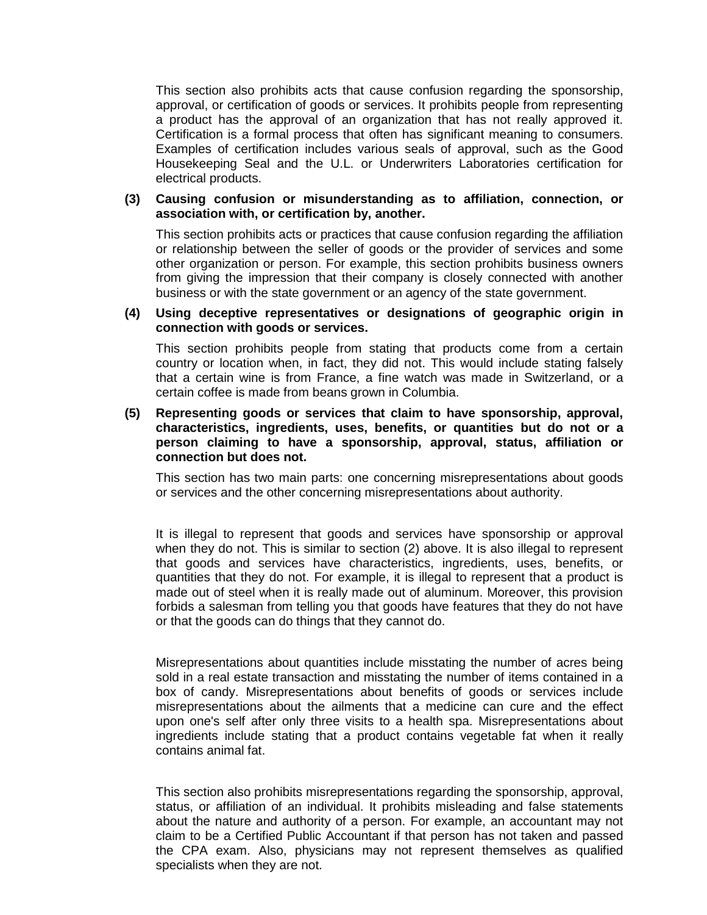This section also prohibits acts that cause confusion regarding the sponsorship, approval, or certification of goods or services. It prohibits people from representing a product has the approval of an organization that has not really approved it. Certification is a formal process that often has significant meaning to consumers. Examples of certification includes various seals of approval, such as the Good Housekeeping Seal and the U.L. or Underwriters Laboratories certification for electrical products.

## **(3) Causing confusion or misunderstanding as to affiliation, connection, or association with, or certification by, another.**

This section prohibits acts or practices that cause confusion regarding the affiliation or relationship between the seller of goods or the provider of services and some other organization or person. For example, this section prohibits business owners from giving the impression that their company is closely connected with another business or with the state government or an agency of the state government.

# **(4) Using deceptive representatives or designations of geographic origin in connection with goods or services.**

This section prohibits people from stating that products come from a certain country or location when, in fact, they did not. This would include stating falsely that a certain wine is from France, a fine watch was made in Switzerland, or a certain coffee is made from beans grown in Columbia.

## **(5) Representing goods or services that claim to have sponsorship, approval, characteristics, ingredients, uses, benefits, or quantities but do not or a person claiming to have a sponsorship, approval, status, affiliation or connection but does not.**

This section has two main parts: one concerning misrepresentations about goods or services and the other concerning misrepresentations about authority.

It is illegal to represent that goods and services have sponsorship or approval when they do not. This is similar to section (2) above. It is also illegal to represent that goods and services have characteristics, ingredients, uses, benefits, or quantities that they do not. For example, it is illegal to represent that a product is made out of steel when it is really made out of aluminum. Moreover, this provision forbids a salesman from telling you that goods have features that they do not have or that the goods can do things that they cannot do.

Misrepresentations about quantities include misstating the number of acres being sold in a real estate transaction and misstating the number of items contained in a box of candy. Misrepresentations about benefits of goods or services include misrepresentations about the ailments that a medicine can cure and the effect upon one's self after only three visits to a health spa. Misrepresentations about ingredients include stating that a product contains vegetable fat when it really contains animal fat.

This section also prohibits misrepresentations regarding the sponsorship, approval, status, or affiliation of an individual. It prohibits misleading and false statements about the nature and authority of a person. For example, an accountant may not claim to be a Certified Public Accountant if that person has not taken and passed the CPA exam. Also, physicians may not represent themselves as qualified specialists when they are not.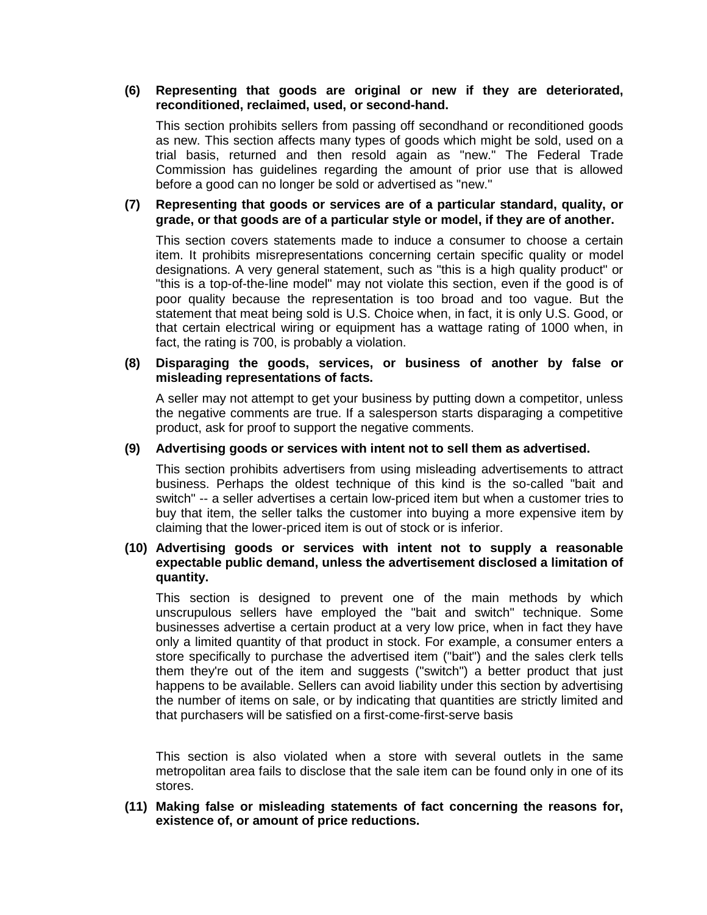# **(6) Representing that goods are original or new if they are deteriorated, reconditioned, reclaimed, used, or second-hand.**

This section prohibits sellers from passing off secondhand or reconditioned goods as new. This section affects many types of goods which might be sold, used on a trial basis, returned and then resold again as "new." The Federal Trade Commission has guidelines regarding the amount of prior use that is allowed before a good can no longer be sold or advertised as "new."

# **(7) Representing that goods or services are of a particular standard, quality, or grade, or that goods are of a particular style or model, if they are of another.**

This section covers statements made to induce a consumer to choose a certain item. It prohibits misrepresentations concerning certain specific quality or model designations. A very general statement, such as "this is a high quality product" or "this is a top-of-the-line model" may not violate this section, even if the good is of poor quality because the representation is too broad and too vague. But the statement that meat being sold is U.S. Choice when, in fact, it is only U.S. Good, or that certain electrical wiring or equipment has a wattage rating of 1000 when, in fact, the rating is 700, is probably a violation.

#### **(8) Disparaging the goods, services, or business of another by false or misleading representations of facts.**

A seller may not attempt to get your business by putting down a competitor, unless the negative comments are true. If a salesperson starts disparaging a competitive product, ask for proof to support the negative comments.

## **(9) Advertising goods or services with intent not to sell them as advertised.**

This section prohibits advertisers from using misleading advertisements to attract business. Perhaps the oldest technique of this kind is the so-called "bait and switch" -- a seller advertises a certain low-priced item but when a customer tries to buy that item, the seller talks the customer into buying a more expensive item by claiming that the lower-priced item is out of stock or is inferior.

## **(10) Advertising goods or services with intent not to supply a reasonable expectable public demand, unless the advertisement disclosed a limitation of quantity.**

This section is designed to prevent one of the main methods by which unscrupulous sellers have employed the "bait and switch" technique. Some businesses advertise a certain product at a very low price, when in fact they have only a limited quantity of that product in stock. For example, a consumer enters a store specifically to purchase the advertised item ("bait") and the sales clerk tells them they're out of the item and suggests ("switch") a better product that just happens to be available. Sellers can avoid liability under this section by advertising the number of items on sale, or by indicating that quantities are strictly limited and that purchasers will be satisfied on a first-come-first-serve basis

This section is also violated when a store with several outlets in the same metropolitan area fails to disclose that the sale item can be found only in one of its stores.

**(11) Making false or misleading statements of fact concerning the reasons for, existence of, or amount of price reductions.**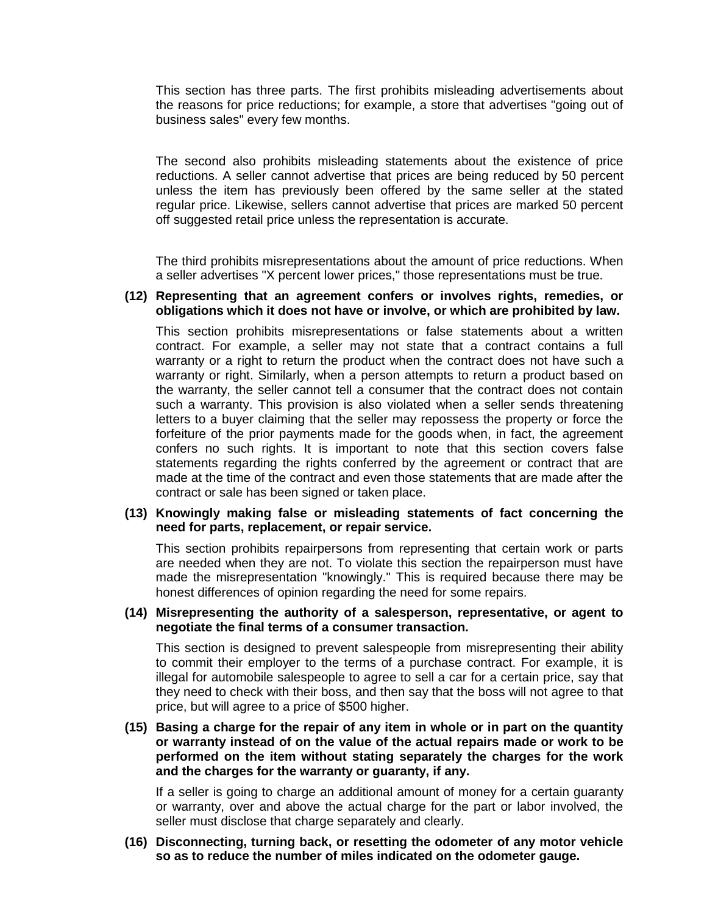This section has three parts. The first prohibits misleading advertisements about the reasons for price reductions; for example, a store that advertises "going out of business sales" every few months.

The second also prohibits misleading statements about the existence of price reductions. A seller cannot advertise that prices are being reduced by 50 percent unless the item has previously been offered by the same seller at the stated regular price. Likewise, sellers cannot advertise that prices are marked 50 percent off suggested retail price unless the representation is accurate.

The third prohibits misrepresentations about the amount of price reductions. When a seller advertises "X percent lower prices," those representations must be true.

#### **(12) Representing that an agreement confers or involves rights, remedies, or obligations which it does not have or involve, or which are prohibited by law.**

This section prohibits misrepresentations or false statements about a written contract. For example, a seller may not state that a contract contains a full warranty or a right to return the product when the contract does not have such a warranty or right. Similarly, when a person attempts to return a product based on the warranty, the seller cannot tell a consumer that the contract does not contain such a warranty. This provision is also violated when a seller sends threatening letters to a buyer claiming that the seller may repossess the property or force the forfeiture of the prior payments made for the goods when, in fact, the agreement confers no such rights. It is important to note that this section covers false statements regarding the rights conferred by the agreement or contract that are made at the time of the contract and even those statements that are made after the contract or sale has been signed or taken place.

#### **(13) Knowingly making false or misleading statements of fact concerning the need for parts, replacement, or repair service.**

This section prohibits repairpersons from representing that certain work or parts are needed when they are not. To violate this section the repairperson must have made the misrepresentation "knowingly." This is required because there may be honest differences of opinion regarding the need for some repairs.

## **(14) Misrepresenting the authority of a salesperson, representative, or agent to negotiate the final terms of a consumer transaction.**

This section is designed to prevent salespeople from misrepresenting their ability to commit their employer to the terms of a purchase contract. For example, it is illegal for automobile salespeople to agree to sell a car for a certain price, say that they need to check with their boss, and then say that the boss will not agree to that price, but will agree to a price of \$500 higher.

# **(15) Basing a charge for the repair of any item in whole or in part on the quantity or warranty instead of on the value of the actual repairs made or work to be performed on the item without stating separately the charges for the work and the charges for the warranty or guaranty, if any.**

If a seller is going to charge an additional amount of money for a certain guaranty or warranty, over and above the actual charge for the part or labor involved, the seller must disclose that charge separately and clearly.

## **(16) Disconnecting, turning back, or resetting the odometer of any motor vehicle so as to reduce the number of miles indicated on the odometer gauge.**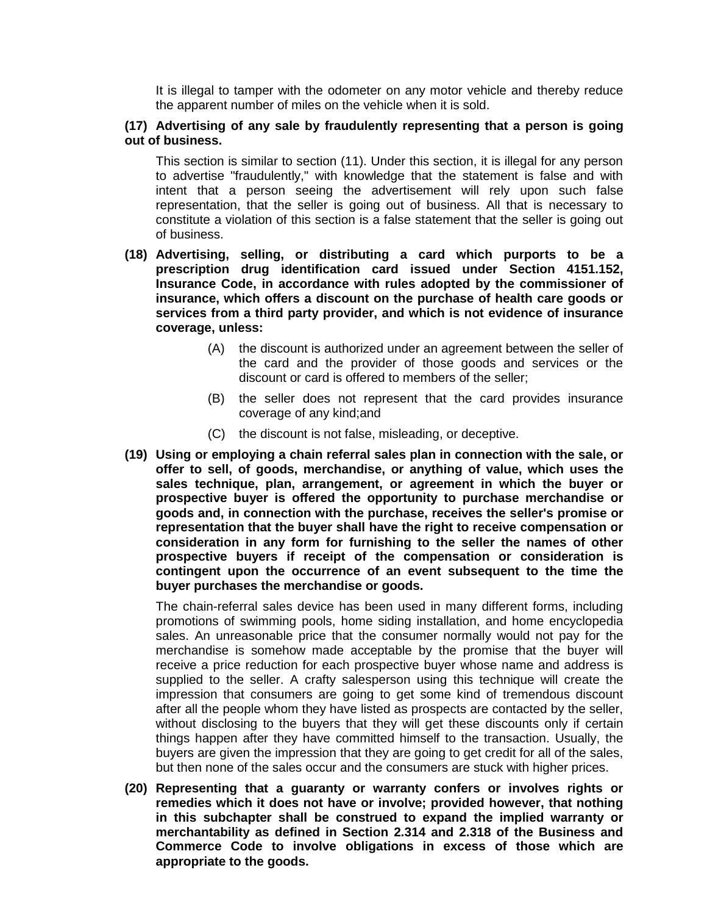It is illegal to tamper with the odometer on any motor vehicle and thereby reduce the apparent number of miles on the vehicle when it is sold.

## **(17) Advertising of any sale by fraudulently representing that a person is going out of business.**

This section is similar to section (11). Under this section, it is illegal for any person to advertise "fraudulently," with knowledge that the statement is false and with intent that a person seeing the advertisement will rely upon such false representation, that the seller is going out of business. All that is necessary to constitute a violation of this section is a false statement that the seller is going out of business.

- **(18) Advertising, selling, or distributing a card which purports to be a prescription drug identification card issued under Section 4151.152, Insurance Code, in accordance with rules adopted by the commissioner of insurance, which offers a discount on the purchase of health care goods or services from a third party provider, and which is not evidence of insurance coverage, unless:**
	- (A) the discount is authorized under an agreement between the seller of the card and the provider of those goods and services or the discount or card is offered to members of the seller;
	- (B) the seller does not represent that the card provides insurance coverage of any kind;and
	- (C) the discount is not false, misleading, or deceptive.
- **(19) Using or employing a chain referral sales plan in connection with the sale, or offer to sell, of goods, merchandise, or anything of value, which uses the sales technique, plan, arrangement, or agreement in which the buyer or prospective buyer is offered the opportunity to purchase merchandise or goods and, in connection with the purchase, receives the seller's promise or representation that the buyer shall have the right to receive compensation or consideration in any form for furnishing to the seller the names of other prospective buyers if receipt of the compensation or consideration is contingent upon the occurrence of an event subsequent to the time the buyer purchases the merchandise or goods.**

The chain-referral sales device has been used in many different forms, including promotions of swimming pools, home siding installation, and home encyclopedia sales. An unreasonable price that the consumer normally would not pay for the merchandise is somehow made acceptable by the promise that the buyer will receive a price reduction for each prospective buyer whose name and address is supplied to the seller. A crafty salesperson using this technique will create the impression that consumers are going to get some kind of tremendous discount after all the people whom they have listed as prospects are contacted by the seller, without disclosing to the buyers that they will get these discounts only if certain things happen after they have committed himself to the transaction. Usually, the buyers are given the impression that they are going to get credit for all of the sales, but then none of the sales occur and the consumers are stuck with higher prices.

**(20) Representing that a guaranty or warranty confers or involves rights or remedies which it does not have or involve; provided however, that nothing in this subchapter shall be construed to expand the implied warranty or merchantability as defined in Section 2.314 and 2.318 of the Business and Commerce Code to involve obligations in excess of those which are appropriate to the goods.**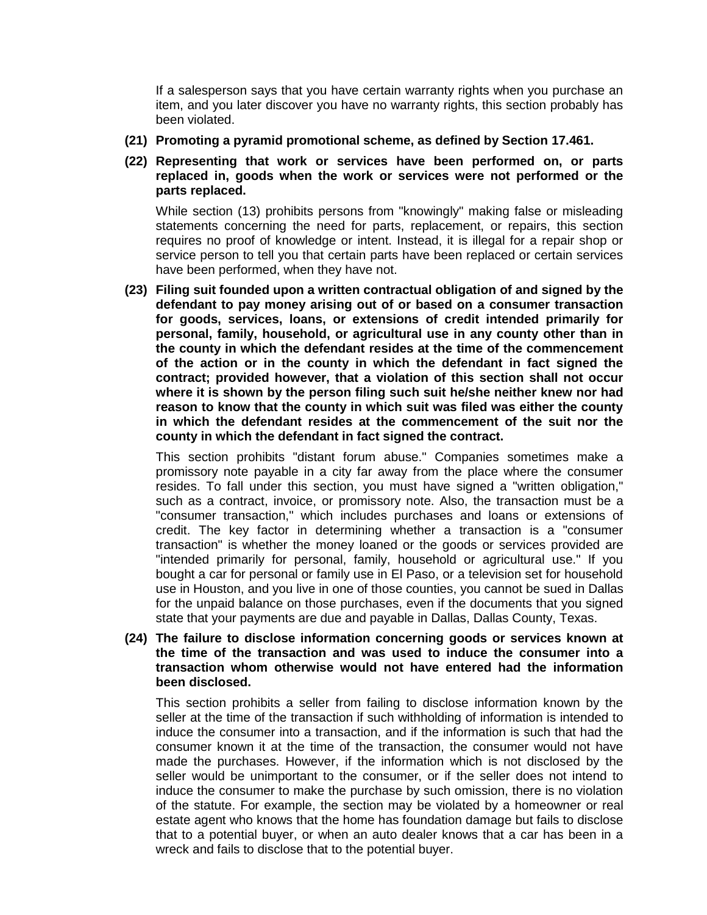If a salesperson says that you have certain warranty rights when you purchase an item, and you later discover you have no warranty rights, this section probably has been violated.

- **(21) Promoting a pyramid promotional scheme, as defined by Section 17.461.**
- **(22) Representing that work or services have been performed on, or parts replaced in, goods when the work or services were not performed or the parts replaced.**

While section (13) prohibits persons from "knowingly" making false or misleading statements concerning the need for parts, replacement, or repairs, this section requires no proof of knowledge or intent. Instead, it is illegal for a repair shop or service person to tell you that certain parts have been replaced or certain services have been performed, when they have not.

**(23) Filing suit founded upon a written contractual obligation of and signed by the defendant to pay money arising out of or based on a consumer transaction for goods, services, loans, or extensions of credit intended primarily for personal, family, household, or agricultural use in any county other than in the county in which the defendant resides at the time of the commencement of the action or in the county in which the defendant in fact signed the contract; provided however, that a violation of this section shall not occur where it is shown by the person filing such suit he/she neither knew nor had reason to know that the county in which suit was filed was either the county in which the defendant resides at the commencement of the suit nor the county in which the defendant in fact signed the contract.**

This section prohibits "distant forum abuse." Companies sometimes make a promissory note payable in a city far away from the place where the consumer resides. To fall under this section, you must have signed a "written obligation," such as a contract, invoice, or promissory note. Also, the transaction must be a "consumer transaction," which includes purchases and loans or extensions of credit. The key factor in determining whether a transaction is a "consumer transaction" is whether the money loaned or the goods or services provided are "intended primarily for personal, family, household or agricultural use." If you bought a car for personal or family use in El Paso, or a television set for household use in Houston, and you live in one of those counties, you cannot be sued in Dallas for the unpaid balance on those purchases, even if the documents that you signed state that your payments are due and payable in Dallas, Dallas County, Texas.

## **(24) The failure to disclose information concerning goods or services known at the time of the transaction and was used to induce the consumer into a transaction whom otherwise would not have entered had the information been disclosed.**

This section prohibits a seller from failing to disclose information known by the seller at the time of the transaction if such withholding of information is intended to induce the consumer into a transaction, and if the information is such that had the consumer known it at the time of the transaction, the consumer would not have made the purchases. However, if the information which is not disclosed by the seller would be unimportant to the consumer, or if the seller does not intend to induce the consumer to make the purchase by such omission, there is no violation of the statute. For example, the section may be violated by a homeowner or real estate agent who knows that the home has foundation damage but fails to disclose that to a potential buyer, or when an auto dealer knows that a car has been in a wreck and fails to disclose that to the potential buyer.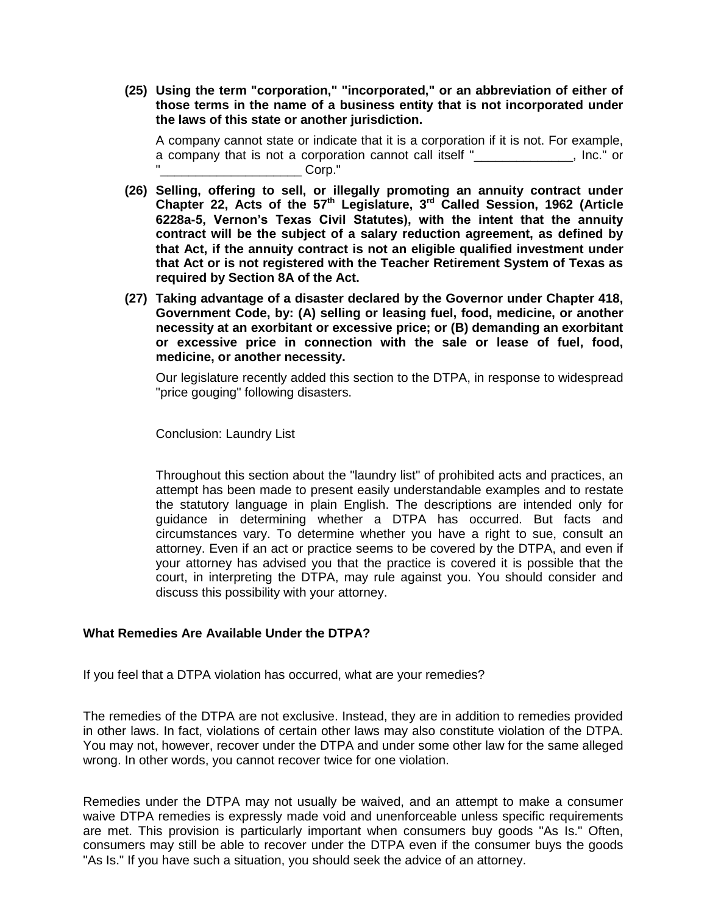**(25) Using the term "corporation," "incorporated," or an abbreviation of either of those terms in the name of a business entity that is not incorporated under the laws of this state or another jurisdiction.**

A company cannot state or indicate that it is a corporation if it is not. For example, a company that is not a corporation cannot call itself " . Inc." or Corp."

- **(26) Selling, offering to sell, or illegally promoting an annuity contract under Chapter 22, Acts of the 57th Legislature, 3rd Called Session, 1962 (Article 6228a-5, Vernon's Texas Civil Statutes), with the intent that the annuity contract will be the subject of a salary reduction agreement, as defined by that Act, if the annuity contract is not an eligible qualified investment under that Act or is not registered with the Teacher Retirement System of Texas as required by Section 8A of the Act.**
- **(27) Taking advantage of a disaster declared by the Governor under Chapter 418, Government Code, by: (A) selling or leasing fuel, food, medicine, or another necessity at an exorbitant or excessive price; or (B) demanding an exorbitant or excessive price in connection with the sale or lease of fuel, food, medicine, or another necessity.**

Our legislature recently added this section to the DTPA, in response to widespread "price gouging" following disasters.

Conclusion: Laundry List

Throughout this section about the "laundry list" of prohibited acts and practices, an attempt has been made to present easily understandable examples and to restate the statutory language in plain English. The descriptions are intended only for guidance in determining whether a DTPA has occurred. But facts and circumstances vary. To determine whether you have a right to sue, consult an attorney. Even if an act or practice seems to be covered by the DTPA, and even if your attorney has advised you that the practice is covered it is possible that the court, in interpreting the DTPA, may rule against you. You should consider and discuss this possibility with your attorney.

# **What Remedies Are Available Under the DTPA?**

If you feel that a DTPA violation has occurred, what are your remedies?

The remedies of the DTPA are not exclusive. Instead, they are in addition to remedies provided in other laws. In fact, violations of certain other laws may also constitute violation of the DTPA. You may not, however, recover under the DTPA and under some other law for the same alleged wrong. In other words, you cannot recover twice for one violation.

Remedies under the DTPA may not usually be waived, and an attempt to make a consumer waive DTPA remedies is expressly made void and unenforceable unless specific requirements are met. This provision is particularly important when consumers buy goods "As Is." Often, consumers may still be able to recover under the DTPA even if the consumer buys the goods "As Is." If you have such a situation, you should seek the advice of an attorney.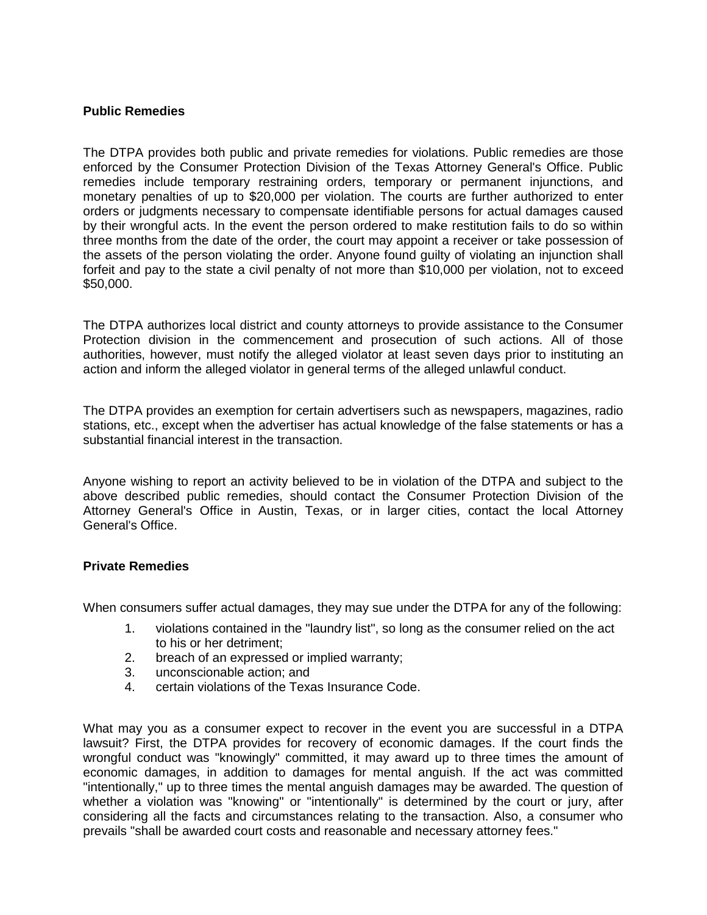## **Public Remedies**

The DTPA provides both public and private remedies for violations. Public remedies are those enforced by the Consumer Protection Division of the Texas Attorney General's Office. Public remedies include temporary restraining orders, temporary or permanent injunctions, and monetary penalties of up to \$20,000 per violation. The courts are further authorized to enter orders or judgments necessary to compensate identifiable persons for actual damages caused by their wrongful acts. In the event the person ordered to make restitution fails to do so within three months from the date of the order, the court may appoint a receiver or take possession of the assets of the person violating the order. Anyone found guilty of violating an injunction shall forfeit and pay to the state a civil penalty of not more than \$10,000 per violation, not to exceed \$50,000.

The DTPA authorizes local district and county attorneys to provide assistance to the Consumer Protection division in the commencement and prosecution of such actions. All of those authorities, however, must notify the alleged violator at least seven days prior to instituting an action and inform the alleged violator in general terms of the alleged unlawful conduct.

The DTPA provides an exemption for certain advertisers such as newspapers, magazines, radio stations, etc., except when the advertiser has actual knowledge of the false statements or has a substantial financial interest in the transaction.

Anyone wishing to report an activity believed to be in violation of the DTPA and subject to the above described public remedies, should contact the Consumer Protection Division of the Attorney General's Office in Austin, Texas, or in larger cities, contact the local Attorney General's Office.

## **Private Remedies**

When consumers suffer actual damages, they may sue under the DTPA for any of the following:

- 1. violations contained in the "laundry list", so long as the consumer relied on the act to his or her detriment;
- 2. breach of an expressed or implied warranty;
- 3. unconscionable action; and
- 4. certain violations of the Texas Insurance Code.

What may you as a consumer expect to recover in the event you are successful in a DTPA lawsuit? First, the DTPA provides for recovery of economic damages. If the court finds the wrongful conduct was "knowingly" committed, it may award up to three times the amount of economic damages, in addition to damages for mental anguish. If the act was committed "intentionally," up to three times the mental anguish damages may be awarded. The question of whether a violation was "knowing" or "intentionally" is determined by the court or jury, after considering all the facts and circumstances relating to the transaction. Also, a consumer who prevails "shall be awarded court costs and reasonable and necessary attorney fees."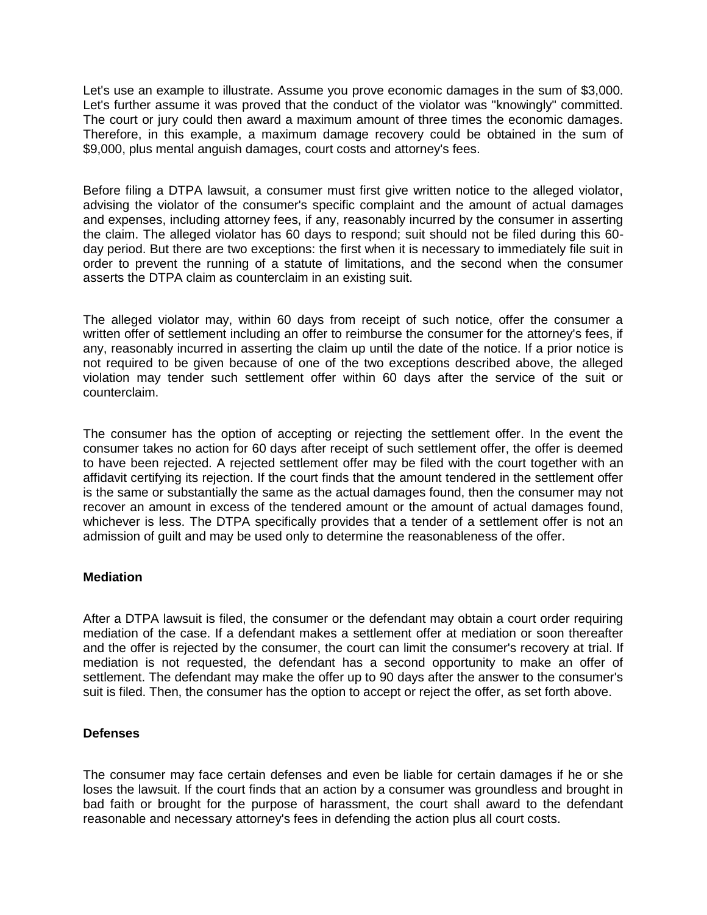Let's use an example to illustrate. Assume you prove economic damages in the sum of \$3,000. Let's further assume it was proved that the conduct of the violator was "knowingly" committed. The court or jury could then award a maximum amount of three times the economic damages. Therefore, in this example, a maximum damage recovery could be obtained in the sum of \$9,000, plus mental anguish damages, court costs and attorney's fees.

Before filing a DTPA lawsuit, a consumer must first give written notice to the alleged violator, advising the violator of the consumer's specific complaint and the amount of actual damages and expenses, including attorney fees, if any, reasonably incurred by the consumer in asserting the claim. The alleged violator has 60 days to respond; suit should not be filed during this 60 day period. But there are two exceptions: the first when it is necessary to immediately file suit in order to prevent the running of a statute of limitations, and the second when the consumer asserts the DTPA claim as counterclaim in an existing suit.

The alleged violator may, within 60 days from receipt of such notice, offer the consumer a written offer of settlement including an offer to reimburse the consumer for the attorney's fees, if any, reasonably incurred in asserting the claim up until the date of the notice. If a prior notice is not required to be given because of one of the two exceptions described above, the alleged violation may tender such settlement offer within 60 days after the service of the suit or counterclaim.

The consumer has the option of accepting or rejecting the settlement offer. In the event the consumer takes no action for 60 days after receipt of such settlement offer, the offer is deemed to have been rejected. A rejected settlement offer may be filed with the court together with an affidavit certifying its rejection. If the court finds that the amount tendered in the settlement offer is the same or substantially the same as the actual damages found, then the consumer may not recover an amount in excess of the tendered amount or the amount of actual damages found, whichever is less. The DTPA specifically provides that a tender of a settlement offer is not an admission of guilt and may be used only to determine the reasonableness of the offer.

# **Mediation**

After a DTPA lawsuit is filed, the consumer or the defendant may obtain a court order requiring mediation of the case. If a defendant makes a settlement offer at mediation or soon thereafter and the offer is rejected by the consumer, the court can limit the consumer's recovery at trial. If mediation is not requested, the defendant has a second opportunity to make an offer of settlement. The defendant may make the offer up to 90 days after the answer to the consumer's suit is filed. Then, the consumer has the option to accept or reject the offer, as set forth above.

# **Defenses**

The consumer may face certain defenses and even be liable for certain damages if he or she loses the lawsuit. If the court finds that an action by a consumer was groundless and brought in bad faith or brought for the purpose of harassment, the court shall award to the defendant reasonable and necessary attorney's fees in defending the action plus all court costs.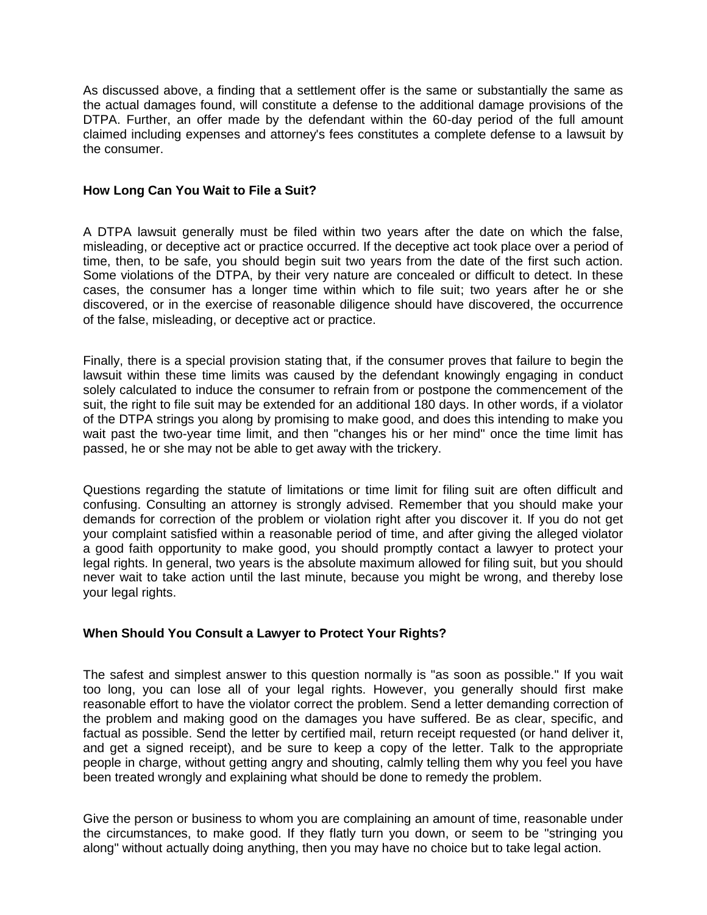As discussed above, a finding that a settlement offer is the same or substantially the same as the actual damages found, will constitute a defense to the additional damage provisions of the DTPA. Further, an offer made by the defendant within the 60-day period of the full amount claimed including expenses and attorney's fees constitutes a complete defense to a lawsuit by the consumer.

## **How Long Can You Wait to File a Suit?**

A DTPA lawsuit generally must be filed within two years after the date on which the false, misleading, or deceptive act or practice occurred. If the deceptive act took place over a period of time, then, to be safe, you should begin suit two years from the date of the first such action. Some violations of the DTPA, by their very nature are concealed or difficult to detect. In these cases, the consumer has a longer time within which to file suit; two years after he or she discovered, or in the exercise of reasonable diligence should have discovered, the occurrence of the false, misleading, or deceptive act or practice.

Finally, there is a special provision stating that, if the consumer proves that failure to begin the lawsuit within these time limits was caused by the defendant knowingly engaging in conduct solely calculated to induce the consumer to refrain from or postpone the commencement of the suit, the right to file suit may be extended for an additional 180 days. In other words, if a violator of the DTPA strings you along by promising to make good, and does this intending to make you wait past the two-year time limit, and then "changes his or her mind" once the time limit has passed, he or she may not be able to get away with the trickery.

Questions regarding the statute of limitations or time limit for filing suit are often difficult and confusing. Consulting an attorney is strongly advised. Remember that you should make your demands for correction of the problem or violation right after you discover it. If you do not get your complaint satisfied within a reasonable period of time, and after giving the alleged violator a good faith opportunity to make good, you should promptly contact a lawyer to protect your legal rights. In general, two years is the absolute maximum allowed for filing suit, but you should never wait to take action until the last minute, because you might be wrong, and thereby lose your legal rights.

# **When Should You Consult a Lawyer to Protect Your Rights?**

The safest and simplest answer to this question normally is "as soon as possible." If you wait too long, you can lose all of your legal rights. However, you generally should first make reasonable effort to have the violator correct the problem. Send a letter demanding correction of the problem and making good on the damages you have suffered. Be as clear, specific, and factual as possible. Send the letter by certified mail, return receipt requested (or hand deliver it, and get a signed receipt), and be sure to keep a copy of the letter. Talk to the appropriate people in charge, without getting angry and shouting, calmly telling them why you feel you have been treated wrongly and explaining what should be done to remedy the problem.

Give the person or business to whom you are complaining an amount of time, reasonable under the circumstances, to make good. If they flatly turn you down, or seem to be "stringing you along" without actually doing anything, then you may have no choice but to take legal action.